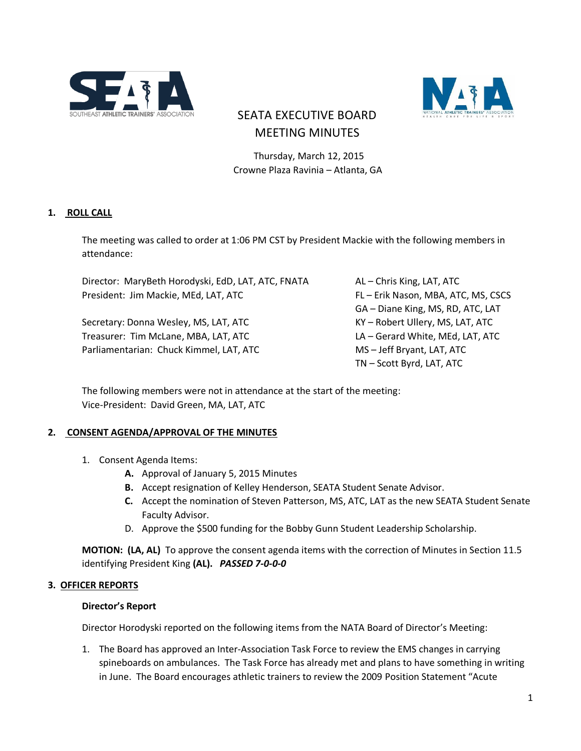



# SEATA EXECUTIVE BOARD MEETING MINUTES

 Thursday, March 12, 2015 Crowne Plaza Ravinia – Atlanta, GA

### **1. ROLL CALL**

The meeting was called to order at 1:06 PM CST by President Mackie with the following members in attendance:

Director: MaryBeth Horodyski, EdD, LAT, ATC, FNATA AL - Chris King, LAT, ATC President: Jim Mackie, MEd, LAT, ATC FL FERIK Nason, MBA, ATC, MS, CSCS

Secretary: Donna Wesley, MS, LAT, ATC KY – Robert Ullery, MS, LAT, ATC Treasurer: Tim McLane, MBA, LAT, ATC LA – Gerard White, MEd, LAT, ATC Parliamentarian: Chuck Kimmel, LAT, ATC MS – Jeff Bryant, LAT, ATC

GA – Diane King, MS, RD, ATC, LAT TN – Scott Byrd, LAT, ATC

The following members were not in attendance at the start of the meeting: Vice-President: David Green, MA, LAT, ATC

### **2. CONSENT AGENDA/APPROVAL OF THE MINUTES**

- 1. Consent Agenda Items:
	- **A.** Approval of January 5, 2015 Minutes
	- **B.** Accept resignation of Kelley Henderson, SEATA Student Senate Advisor.
	- **C.** Accept the nomination of Steven Patterson, MS, ATC, LAT as the new SEATA Student Senate Faculty Advisor.
	- D. Approve the \$500 funding for the Bobby Gunn Student Leadership Scholarship.

**MOTION: (LA, AL)** To approve the consent agenda items with the correction of Minutes in Section 11.5 identifying President King **(AL).** *PASSED 7-0-0-0*

#### **3. OFFICER REPORTS**

#### **Director's Report**

Director Horodyski reported on the following items from the NATA Board of Director's Meeting:

1. The Board has approved an Inter-Association Task Force to review the EMS changes in carrying spineboards on ambulances. The Task Force has already met and plans to have something in writing in June. The Board encourages athletic trainers to review the 2009 Position Statement "Acute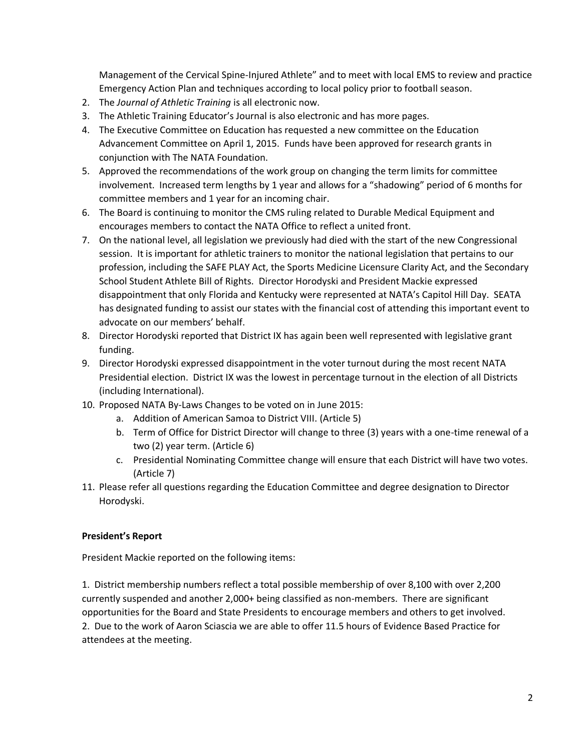Management of the Cervical Spine-Injured Athlete" and to meet with local EMS to review and practice Emergency Action Plan and techniques according to local policy prior to football season.

- 2. The *Journal of Athletic Training* is all electronic now.
- 3. The Athletic Training Educator's Journal is also electronic and has more pages.
- 4. The Executive Committee on Education has requested a new committee on the Education Advancement Committee on April 1, 2015. Funds have been approved for research grants in conjunction with The NATA Foundation.
- 5. Approved the recommendations of the work group on changing the term limits for committee involvement. Increased term lengths by 1 year and allows for a "shadowing" period of 6 months for committee members and 1 year for an incoming chair.
- 6. The Board is continuing to monitor the CMS ruling related to Durable Medical Equipment and encourages members to contact the NATA Office to reflect a united front.
- 7. On the national level, all legislation we previously had died with the start of the new Congressional session. It is important for athletic trainers to monitor the national legislation that pertains to our profession, including the SAFE PLAY Act, the Sports Medicine Licensure Clarity Act, and the Secondary School Student Athlete Bill of Rights. Director Horodyski and President Mackie expressed disappointment that only Florida and Kentucky were represented at NATA's Capitol Hill Day. SEATA has designated funding to assist our states with the financial cost of attending this important event to advocate on our members' behalf.
- 8. Director Horodyski reported that District IX has again been well represented with legislative grant funding.
- 9. Director Horodyski expressed disappointment in the voter turnout during the most recent NATA Presidential election. District IX was the lowest in percentage turnout in the election of all Districts (including International).
- 10. Proposed NATA By-Laws Changes to be voted on in June 2015:
	- a. Addition of American Samoa to District VIII. (Article 5)
	- b. Term of Office for District Director will change to three (3) years with a one-time renewal of a two (2) year term. (Article 6)
	- c. Presidential Nominating Committee change will ensure that each District will have two votes. (Article 7)
- 11. Please refer all questions regarding the Education Committee and degree designation to Director Horodyski.

### **President's Report**

President Mackie reported on the following items:

1. District membership numbers reflect a total possible membership of over 8,100 with over 2,200 currently suspended and another 2,000+ being classified as non-members. There are significant opportunities for the Board and State Presidents to encourage members and others to get involved. 2. Due to the work of Aaron Sciascia we are able to offer 11.5 hours of Evidence Based Practice for attendees at the meeting.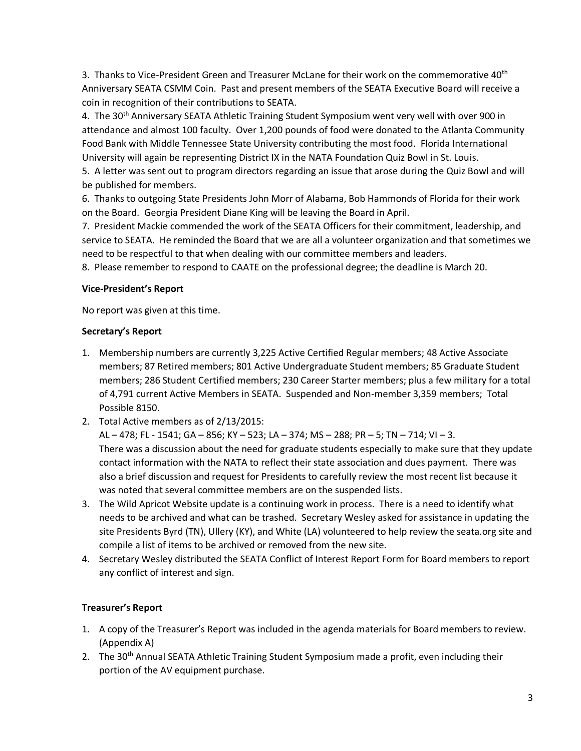3. Thanks to Vice-President Green and Treasurer McLane for their work on the commemorative 40<sup>th</sup> Anniversary SEATA CSMM Coin. Past and present members of the SEATA Executive Board will receive a coin in recognition of their contributions to SEATA.

4. The 30<sup>th</sup> Anniversary SEATA Athletic Training Student Symposium went very well with over 900 in attendance and almost 100 faculty. Over 1,200 pounds of food were donated to the Atlanta Community Food Bank with Middle Tennessee State University contributing the most food. Florida International University will again be representing District IX in the NATA Foundation Quiz Bowl in St. Louis.

5. A letter was sent out to program directors regarding an issue that arose during the Quiz Bowl and will be published for members.

6. Thanks to outgoing State Presidents John Morr of Alabama, Bob Hammonds of Florida for their work on the Board. Georgia President Diane King will be leaving the Board in April.

7. President Mackie commended the work of the SEATA Officers for their commitment, leadership, and service to SEATA. He reminded the Board that we are all a volunteer organization and that sometimes we need to be respectful to that when dealing with our committee members and leaders.

8. Please remember to respond to CAATE on the professional degree; the deadline is March 20.

### **Vice-President's Report**

No report was given at this time.

### **Secretary's Report**

- 1. Membership numbers are currently 3,225 Active Certified Regular members; 48 Active Associate members; 87 Retired members; 801 Active Undergraduate Student members; 85 Graduate Student members; 286 Student Certified members; 230 Career Starter members; plus a few military for a total of 4,791 current Active Members in SEATA. Suspended and Non-member 3,359 members; Total Possible 8150.
- 2. Total Active members as of 2/13/2015:

AL – 478; FL - 1541; GA – 856; KY – 523; LA – 374; MS – 288; PR – 5; TN – 714; VI – 3. There was a discussion about the need for graduate students especially to make sure that they update contact information with the NATA to reflect their state association and dues payment. There was also a brief discussion and request for Presidents to carefully review the most recent list because it was noted that several committee members are on the suspended lists.

- 3. The Wild Apricot Website update is a continuing work in process. There is a need to identify what needs to be archived and what can be trashed. Secretary Wesley asked for assistance in updating the site Presidents Byrd (TN), Ullery (KY), and White (LA) volunteered to help review the seata.org site and compile a list of items to be archived or removed from the new site.
- 4. Secretary Wesley distributed the SEATA Conflict of Interest Report Form for Board members to report any conflict of interest and sign.

## **Treasurer's Report**

- 1. A copy of the Treasurer's Report was included in the agenda materials for Board members to review. (Appendix A)
- 2. The 30<sup>th</sup> Annual SEATA Athletic Training Student Symposium made a profit, even including their portion of the AV equipment purchase.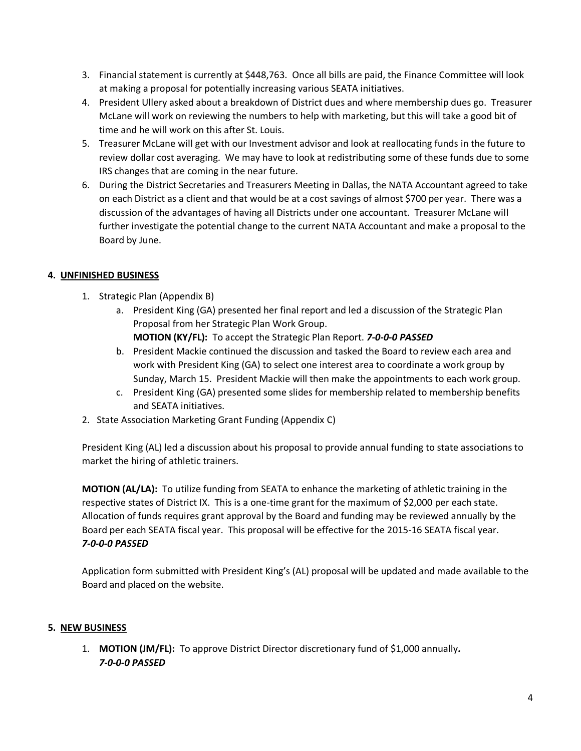- 3. Financial statement is currently at \$448,763. Once all bills are paid, the Finance Committee will look at making a proposal for potentially increasing various SEATA initiatives.
- 4. President Ullery asked about a breakdown of District dues and where membership dues go. Treasurer McLane will work on reviewing the numbers to help with marketing, but this will take a good bit of time and he will work on this after St. Louis.
- 5. Treasurer McLane will get with our Investment advisor and look at reallocating funds in the future to review dollar cost averaging. We may have to look at redistributing some of these funds due to some IRS changes that are coming in the near future.
- 6. During the District Secretaries and Treasurers Meeting in Dallas, the NATA Accountant agreed to take on each District as a client and that would be at a cost savings of almost \$700 per year. There was a discussion of the advantages of having all Districts under one accountant. Treasurer McLane will further investigate the potential change to the current NATA Accountant and make a proposal to the Board by June.

### **4. UNFINISHED BUSINESS**

- 1. Strategic Plan (Appendix B)
	- a. President King (GA) presented her final report and led a discussion of the Strategic Plan Proposal from her Strategic Plan Work Group. **MOTION (KY/FL):** To accept the Strategic Plan Report. *7-0-0-0 PASSED*
	- b. President Mackie continued the discussion and tasked the Board to review each area and
	- work with President King (GA) to select one interest area to coordinate a work group by Sunday, March 15. President Mackie will then make the appointments to each work group.
	- c. President King (GA) presented some slides for membership related to membership benefits and SEATA initiatives.
- 2. State Association Marketing Grant Funding (Appendix C)

President King (AL) led a discussion about his proposal to provide annual funding to state associations to market the hiring of athletic trainers.

**MOTION (AL/LA):** To utilize funding from SEATA to enhance the marketing of athletic training in the respective states of District IX. This is a one-time grant for the maximum of \$2,000 per each state. Allocation of funds requires grant approval by the Board and funding may be reviewed annually by the Board per each SEATA fiscal year. This proposal will be effective for the 2015-16 SEATA fiscal year. *7-0-0-0 PASSED*

Application form submitted with President King's (AL) proposal will be updated and made available to the Board and placed on the website.

### **5. NEW BUSINESS**

1. **MOTION (JM/FL):** To approve District Director discretionary fund of \$1,000 annually*. 7-0-0-0 PASSED*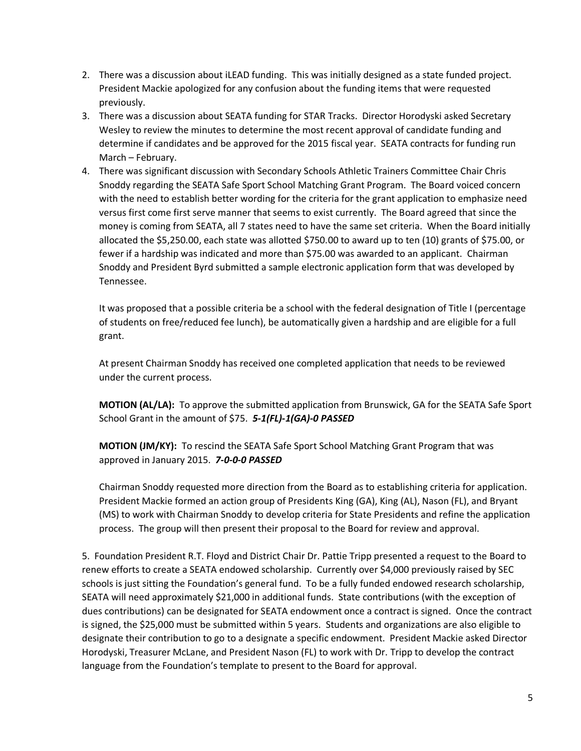- 2. There was a discussion about iLEAD funding. This was initially designed as a state funded project. President Mackie apologized for any confusion about the funding items that were requested previously.
- 3. There was a discussion about SEATA funding for STAR Tracks. Director Horodyski asked Secretary Wesley to review the minutes to determine the most recent approval of candidate funding and determine if candidates and be approved for the 2015 fiscal year. SEATA contracts for funding run March – February.
- 4. There was significant discussion with Secondary Schools Athletic Trainers Committee Chair Chris Snoddy regarding the SEATA Safe Sport School Matching Grant Program. The Board voiced concern with the need to establish better wording for the criteria for the grant application to emphasize need versus first come first serve manner that seems to exist currently. The Board agreed that since the money is coming from SEATA, all 7 states need to have the same set criteria. When the Board initially allocated the \$5,250.00, each state was allotted \$750.00 to award up to ten (10) grants of \$75.00, or fewer if a hardship was indicated and more than \$75.00 was awarded to an applicant. Chairman Snoddy and President Byrd submitted a sample electronic application form that was developed by Tennessee.

It was proposed that a possible criteria be a school with the federal designation of Title I (percentage of students on free/reduced fee lunch), be automatically given a hardship and are eligible for a full grant.

At present Chairman Snoddy has received one completed application that needs to be reviewed under the current process.

**MOTION (AL/LA):** To approve the submitted application from Brunswick, GA for the SEATA Safe Sport School Grant in the amount of \$75. *5-1(FL)-1(GA)-0 PASSED*

**MOTION (JM/KY):** To rescind the SEATA Safe Sport School Matching Grant Program that was approved in January 2015. *7-0-0-0 PASSED*

Chairman Snoddy requested more direction from the Board as to establishing criteria for application. President Mackie formed an action group of Presidents King (GA), King (AL), Nason (FL), and Bryant (MS) to work with Chairman Snoddy to develop criteria for State Presidents and refine the application process. The group will then present their proposal to the Board for review and approval.

5. Foundation President R.T. Floyd and District Chair Dr. Pattie Tripp presented a request to the Board to renew efforts to create a SEATA endowed scholarship. Currently over \$4,000 previously raised by SEC schools is just sitting the Foundation's general fund. To be a fully funded endowed research scholarship, SEATA will need approximately \$21,000 in additional funds. State contributions (with the exception of dues contributions) can be designated for SEATA endowment once a contract is signed. Once the contract is signed, the \$25,000 must be submitted within 5 years. Students and organizations are also eligible to designate their contribution to go to a designate a specific endowment. President Mackie asked Director Horodyski, Treasurer McLane, and President Nason (FL) to work with Dr. Tripp to develop the contract language from the Foundation's template to present to the Board for approval.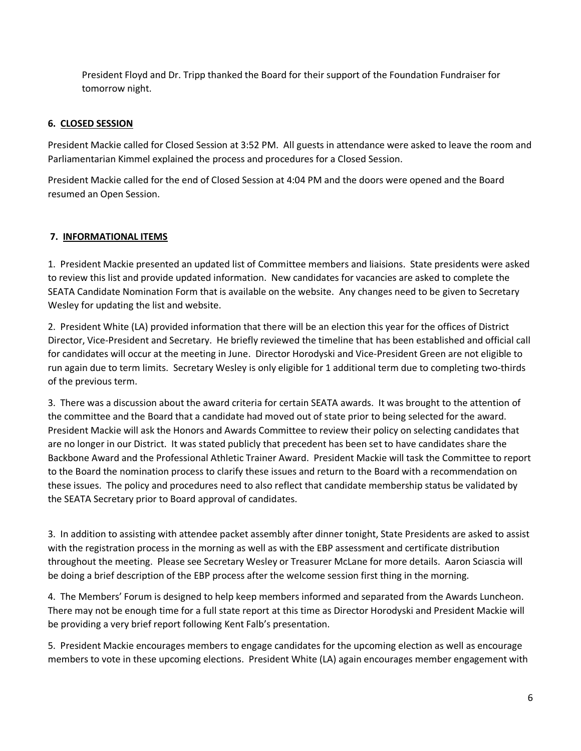President Floyd and Dr. Tripp thanked the Board for their support of the Foundation Fundraiser for tomorrow night.

### **6. CLOSED SESSION**

President Mackie called for Closed Session at 3:52 PM. All guests in attendance were asked to leave the room and Parliamentarian Kimmel explained the process and procedures for a Closed Session.

President Mackie called for the end of Closed Session at 4:04 PM and the doors were opened and the Board resumed an Open Session.

#### **7. INFORMATIONAL ITEMS**

1. President Mackie presented an updated list of Committee members and liaisions. State presidents were asked to review this list and provide updated information. New candidates for vacancies are asked to complete the SEATA Candidate Nomination Form that is available on the website. Any changes need to be given to Secretary Wesley for updating the list and website.

2. President White (LA) provided information that there will be an election this year for the offices of District Director, Vice-President and Secretary. He briefly reviewed the timeline that has been established and official call for candidates will occur at the meeting in June. Director Horodyski and Vice-President Green are not eligible to run again due to term limits. Secretary Wesley is only eligible for 1 additional term due to completing two-thirds of the previous term.

3. There was a discussion about the award criteria for certain SEATA awards. It was brought to the attention of the committee and the Board that a candidate had moved out of state prior to being selected for the award. President Mackie will ask the Honors and Awards Committee to review their policy on selecting candidates that are no longer in our District. It was stated publicly that precedent has been set to have candidates share the Backbone Award and the Professional Athletic Trainer Award. President Mackie will task the Committee to report to the Board the nomination process to clarify these issues and return to the Board with a recommendation on these issues. The policy and procedures need to also reflect that candidate membership status be validated by the SEATA Secretary prior to Board approval of candidates.

3. In addition to assisting with attendee packet assembly after dinner tonight, State Presidents are asked to assist with the registration process in the morning as well as with the EBP assessment and certificate distribution throughout the meeting. Please see Secretary Wesley or Treasurer McLane for more details. Aaron Sciascia will be doing a brief description of the EBP process after the welcome session first thing in the morning.

4. The Members' Forum is designed to help keep members informed and separated from the Awards Luncheon. There may not be enough time for a full state report at this time as Director Horodyski and President Mackie will be providing a very brief report following Kent Falb's presentation.

5. President Mackie encourages members to engage candidates for the upcoming election as well as encourage members to vote in these upcoming elections. President White (LA) again encourages member engagement with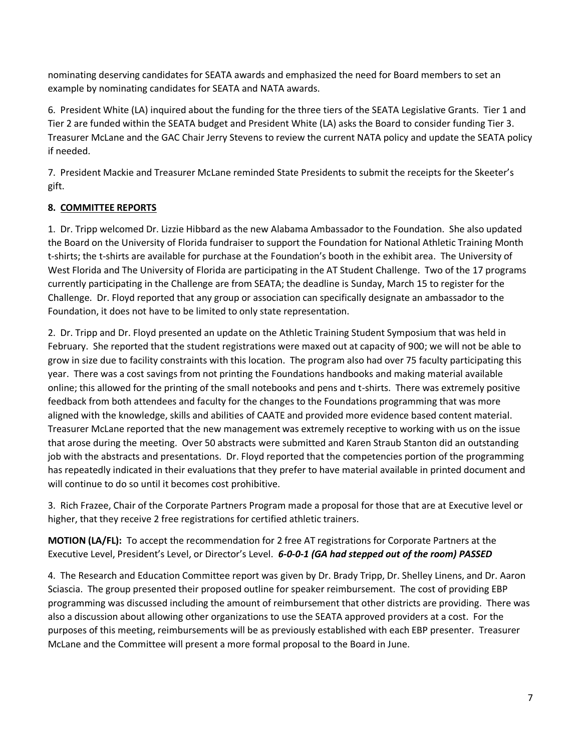nominating deserving candidates for SEATA awards and emphasized the need for Board members to set an example by nominating candidates for SEATA and NATA awards.

6. President White (LA) inquired about the funding for the three tiers of the SEATA Legislative Grants. Tier 1 and Tier 2 are funded within the SEATA budget and President White (LA) asks the Board to consider funding Tier 3. Treasurer McLane and the GAC Chair Jerry Stevens to review the current NATA policy and update the SEATA policy if needed.

7. President Mackie and Treasurer McLane reminded State Presidents to submit the receipts for the Skeeter's gift.

# **8. COMMITTEE REPORTS**

1. Dr. Tripp welcomed Dr. Lizzie Hibbard as the new Alabama Ambassador to the Foundation. She also updated the Board on the University of Florida fundraiser to support the Foundation for National Athletic Training Month t-shirts; the t-shirts are available for purchase at the Foundation's booth in the exhibit area. The University of West Florida and The University of Florida are participating in the AT Student Challenge. Two of the 17 programs currently participating in the Challenge are from SEATA; the deadline is Sunday, March 15 to register for the Challenge. Dr. Floyd reported that any group or association can specifically designate an ambassador to the Foundation, it does not have to be limited to only state representation.

2. Dr. Tripp and Dr. Floyd presented an update on the Athletic Training Student Symposium that was held in February. She reported that the student registrations were maxed out at capacity of 900; we will not be able to grow in size due to facility constraints with this location. The program also had over 75 faculty participating this year. There was a cost savings from not printing the Foundations handbooks and making material available online; this allowed for the printing of the small notebooks and pens and t-shirts. There was extremely positive feedback from both attendees and faculty for the changes to the Foundations programming that was more aligned with the knowledge, skills and abilities of CAATE and provided more evidence based content material. Treasurer McLane reported that the new management was extremely receptive to working with us on the issue that arose during the meeting. Over 50 abstracts were submitted and Karen Straub Stanton did an outstanding job with the abstracts and presentations. Dr. Floyd reported that the competencies portion of the programming has repeatedly indicated in their evaluations that they prefer to have material available in printed document and will continue to do so until it becomes cost prohibitive.

3. Rich Frazee, Chair of the Corporate Partners Program made a proposal for those that are at Executive level or higher, that they receive 2 free registrations for certified athletic trainers.

**MOTION (LA/FL):** To accept the recommendation for 2 free AT registrations for Corporate Partners at the Executive Level, President's Level, or Director's Level. *6-0-0-1 (GA had stepped out of the room) PASSED*

4. The Research and Education Committee report was given by Dr. Brady Tripp, Dr. Shelley Linens, and Dr. Aaron Sciascia. The group presented their proposed outline for speaker reimbursement. The cost of providing EBP programming was discussed including the amount of reimbursement that other districts are providing. There was also a discussion about allowing other organizations to use the SEATA approved providers at a cost. For the purposes of this meeting, reimbursements will be as previously established with each EBP presenter. Treasurer McLane and the Committee will present a more formal proposal to the Board in June.